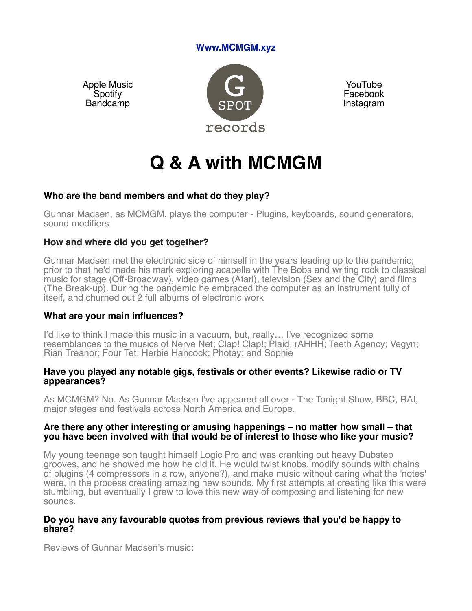# **Www.MCMGM.xyz**

Apple Music **Spotify** Bandcamp



YouTube Facebook **Instagram** 

# **Q & A with MCMGM**

## **Who are the band members and what do they play?**

Gunnar Madsen, as MCMGM, plays the computer - Plugins, keyboards, sound generators, sound modifiers

## **How and where did you get together?**

Gunnar Madsen met the electronic side of himself in the years leading up to the pandemic; prior to that he'd made his mark exploring acapella with The Bobs and writing rock to classical music for stage (Off-Broadway), video games (Atari), television (Sex and the City) and films (The Break-up). During the pandemic he embraced the computer as an instrument fully of itself, and churned out 2 full albums of electronic work

## **What are your main influences?**

I'd like to think I made this music in a vacuum, but, really… I've recognized some resemblances to the musics of Nerve Net; Clap! Clap!; Plaid; rAHHH; Teeth Agency; Vegyn; Rian Treanor; Four Tet; Herbie Hancock; Photay; and Sophie

## **Have you played any notable gigs, festivals or other events? Likewise radio or TV appearances?**

As MCMGM? No. As Gunnar Madsen I've appeared all over - The Tonight Show, BBC, RAI, major stages and festivals across North America and Europe.

## **Are there any other interesting or amusing happenings – no matter how small – that you have been involved with that would be of interest to those who like your music?**

My young teenage son taught himself Logic Pro and was cranking out heavy Dubstep grooves, and he showed me how he did it. He would twist knobs, modify sounds with chains of plugins (4 compressors in a row, anyone?), and make music without caring what the 'notes' were, in the process creating amazing new sounds. My first attempts at creating like this were stumbling, but eventually I grew to love this new way of composing and listening for new sounds.

## **Do you have any favourable quotes from previous reviews that you'd be happy to share?**

Reviews of Gunnar Madsen's music: